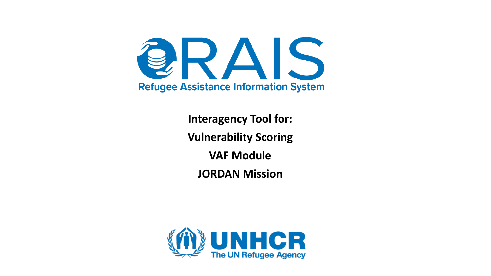

**Interagency Tool for: Vulnerability Scoring VAF Module JORDAN Mission**

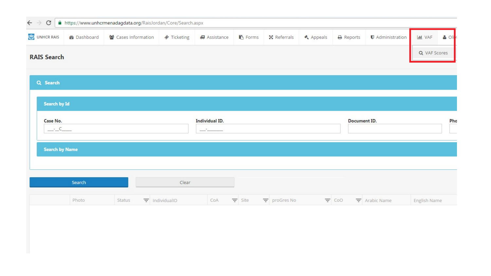| $\leftarrow$ $\rightarrow$<br>$\mathcal{C}$ |                    | A https://www.unhcrmenadagdata.org/RaisJordan/Core/Search.aspx |                    |                                         |                |             |           |                  |                         |                 |       |
|---------------------------------------------|--------------------|----------------------------------------------------------------|--------------------|-----------------------------------------|----------------|-------------|-----------|------------------|-------------------------|-----------------|-------|
| <b>C</b> UNHCR RAIS                         | <b>@</b> Dashboard | <b>答</b> Cases Information                                     | <b>♦</b> Ticketing | # Assistance                            | <b>下</b> Forms | X Referrals | ← Appeals | <b>A</b> Reports | <b>U</b> Administration | <b>Lill</b> VAF | & Oli |
| <b>RAIS Search</b>                          |                    |                                                                |                    |                                         |                |             |           |                  |                         | Q VAF Scores    |       |
| Q Search                                    |                    |                                                                |                    |                                         |                |             |           |                  |                         |                 |       |
| Search by Id                                |                    |                                                                |                    |                                         |                |             |           |                  |                         |                 |       |
| Case No.<br>$-$ - $C$                       |                    |                                                                |                    | <b>Individual ID.</b><br>المناقب والمست |                |             |           | Document ID.     |                         |                 | Pho   |
|                                             |                    |                                                                |                    |                                         |                |             |           |                  |                         |                 |       |
|                                             |                    |                                                                |                    |                                         |                |             |           |                  |                         |                 |       |
| <b>Search by Name</b>                       |                    |                                                                |                    |                                         |                |             |           |                  |                         |                 |       |
|                                             | Search             |                                                                | Clear              |                                         |                |             |           |                  |                         |                 |       |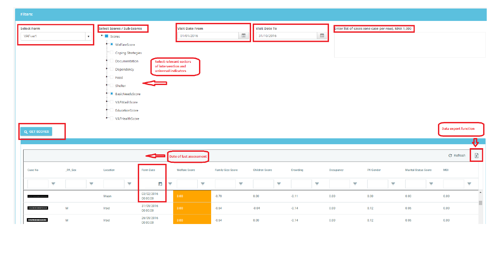**Filters:** 

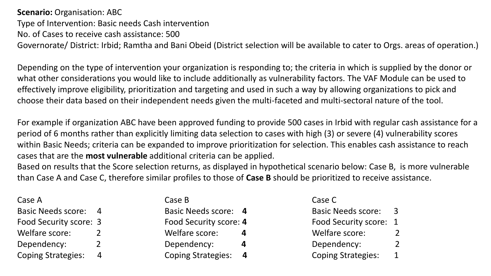**Scenario: Organisation: ABC** Type of Intervention: Basic needs Cash intervention No. of Cases to receive cash assistance: 500 Governorate/ District: Irbid; Ramtha and Bani Obeid (District selection will be available to cater to Orgs. areas of operation.)

Depending on the type of intervention your organization is responding to; the criteria in which is supplied by the donor or what other considerations you would like to include additionally as vulnerability factors. The VAF Module can be used to effectively improve eligibility, prioritization and targeting and used in such a way by allowing organizations to pick and choose their data based on their independent needs given the multi-faceted and multi-sectoral nature of the tool.

For example if organization ABC have been approved funding to provide 500 cases in Irbid with regular cash assistance for a period of 6 months rather than explicitly limiting data selection to cases with high (3) or severe (4) vulnerability scores within Basic Needs; criteria can be expanded to improve prioritization for selection. This enables cash assistance to reach cases that are the **most vulnerable** additional criteria can be applied.

Based on results that the Score selection returns, as displayed in hypothetical scenario below: Case B, is more vulnerable than Case A and Case C, therefore similar profiles to those of **Case B** should be prioritized to receive assistance.

| Case A                      |   | Case B                 | Case C                    |              |
|-----------------------------|---|------------------------|---------------------------|--------------|
| <b>Basic Needs score: 4</b> |   | Basic Needs score: 4   | <b>Basic Needs score:</b> |              |
| Food Security score: 3      |   | Food Security score: 4 | Food Security score: 1    |              |
| Welfare score:              |   | Welfare score:         | Welfare score:            | 2            |
| Dependency:                 |   | Dependency:            | Dependency:               | 2            |
| <b>Coping Strategies:</b>   | 4 | Coping Strategies: 4   | <b>Coping Strategies:</b> | $\mathbf{1}$ |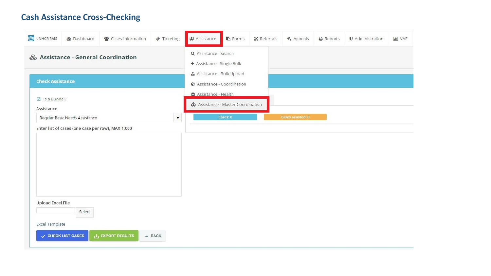## **Cash Assistance Cross-Checking**

 $\sim$ 

| UNHCR RAIS                                                     | <b>@</b> Dashboard                                     | 불 Cases Information     | <b>♦</b> Ticketing | <b>Assistance</b>                                                                                                     | <b>图 Forms</b> | X Referrals | <b>≮</b> Appeals  | $\ominus$ Reports | <b>U</b> Administration | <b>III</b> VAF |
|----------------------------------------------------------------|--------------------------------------------------------|-------------------------|--------------------|-----------------------------------------------------------------------------------------------------------------------|----------------|-------------|-------------------|-------------------|-------------------------|----------------|
| & Assistance - General Coordination<br><b>Check Assistance</b> |                                                        |                         |                    | Q Assistance - Search<br>+ Assistance - Single Bulk<br><b>≛</b> Assistance - Bulk Upload<br>Assistance - Coordination |                |             |                   |                   |                         |                |
| $\triangleright$ Is a Bundel?<br>Assistance                    |                                                        |                         |                    | <b>D</b> I Assistance - Health<br>& Assistance - Master Coordination                                                  |                |             |                   |                   |                         |                |
|                                                                | $\blacktriangledown$<br>Regular Basic Needs Assistance |                         |                    |                                                                                                                       | Cases: 0       |             | Cases assisted: 0 |                   |                         |                |
|                                                                | Enter list of cases (one case per row), MAX 1,000      |                         |                    |                                                                                                                       |                |             |                   |                   |                         |                |
|                                                                |                                                        |                         |                    |                                                                                                                       |                |             |                   |                   |                         |                |
|                                                                |                                                        |                         |                    |                                                                                                                       |                |             |                   |                   |                         |                |
| <b>Upload Excel File</b>                                       | Select                                                 |                         |                    |                                                                                                                       |                |             |                   |                   |                         |                |
| <b>Excel Template</b>                                          | V CHECK LIST CASES                                     | <b>上 EXPORT RESULTS</b> | $\leftarrow$ BACK  |                                                                                                                       |                |             |                   |                   |                         |                |